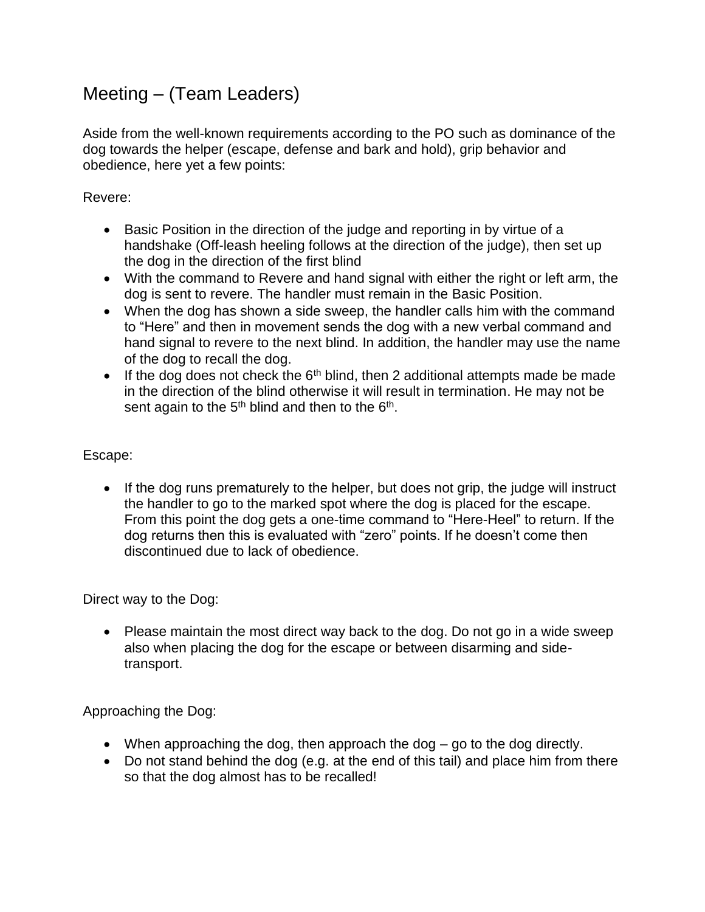## Meeting – (Team Leaders)

Aside from the well-known requirements according to the PO such as dominance of the dog towards the helper (escape, defense and bark and hold), grip behavior and obedience, here yet a few points:

## Revere:

- Basic Position in the direction of the judge and reporting in by virtue of a handshake (Off-leash heeling follows at the direction of the judge), then set up the dog in the direction of the first blind
- With the command to Revere and hand signal with either the right or left arm, the dog is sent to revere. The handler must remain in the Basic Position.
- When the dog has shown a side sweep, the handler calls him with the command to "Here" and then in movement sends the dog with a new verbal command and hand signal to revere to the next blind. In addition, the handler may use the name of the dog to recall the dog.
- If the dog does not check the  $6<sup>th</sup>$  blind, then 2 additional attempts made be made in the direction of the blind otherwise it will result in termination. He may not be sent again to the  $5<sup>th</sup>$  blind and then to the  $6<sup>th</sup>$ .

## Escape:

• If the dog runs prematurely to the helper, but does not grip, the judge will instruct the handler to go to the marked spot where the dog is placed for the escape. From this point the dog gets a one-time command to "Here-Heel" to return. If the dog returns then this is evaluated with "zero" points. If he doesn't come then discontinued due to lack of obedience.

Direct way to the Dog:

• Please maintain the most direct way back to the dog. Do not go in a wide sweep also when placing the dog for the escape or between disarming and sidetransport.

Approaching the Dog:

- When approaching the dog, then approach the dog go to the dog directly.
- Do not stand behind the dog (e.g. at the end of this tail) and place him from there so that the dog almost has to be recalled!